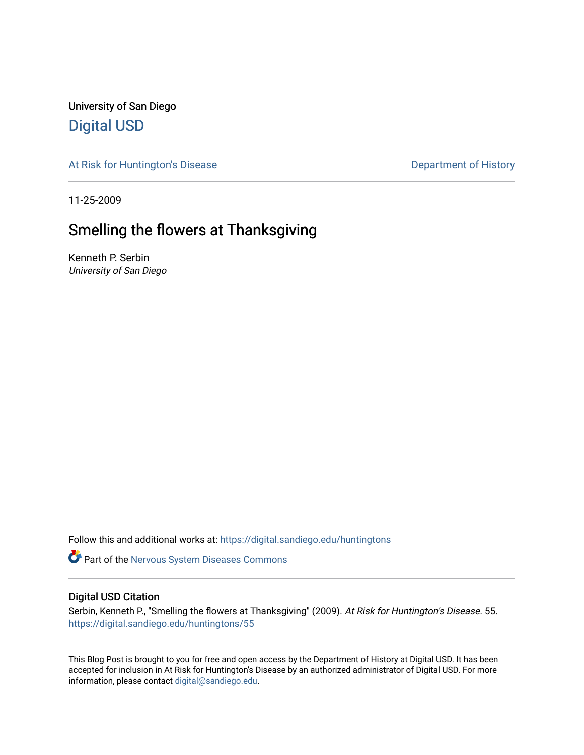University of San Diego [Digital USD](https://digital.sandiego.edu/)

[At Risk for Huntington's Disease](https://digital.sandiego.edu/huntingtons) **Department of History** Department of History

11-25-2009

## Smelling the flowers at Thanksgiving

Kenneth P. Serbin University of San Diego

Follow this and additional works at: [https://digital.sandiego.edu/huntingtons](https://digital.sandiego.edu/huntingtons?utm_source=digital.sandiego.edu%2Fhuntingtons%2F55&utm_medium=PDF&utm_campaign=PDFCoverPages)

**Part of the [Nervous System Diseases Commons](http://network.bepress.com/hgg/discipline/928?utm_source=digital.sandiego.edu%2Fhuntingtons%2F55&utm_medium=PDF&utm_campaign=PDFCoverPages)** 

#### Digital USD Citation

Serbin, Kenneth P., "Smelling the flowers at Thanksgiving" (2009). At Risk for Huntington's Disease. 55. [https://digital.sandiego.edu/huntingtons/55](https://digital.sandiego.edu/huntingtons/55?utm_source=digital.sandiego.edu%2Fhuntingtons%2F55&utm_medium=PDF&utm_campaign=PDFCoverPages)

This Blog Post is brought to you for free and open access by the Department of History at Digital USD. It has been accepted for inclusion in At Risk for Huntington's Disease by an authorized administrator of Digital USD. For more information, please contact [digital@sandiego.edu.](mailto:digital@sandiego.edu)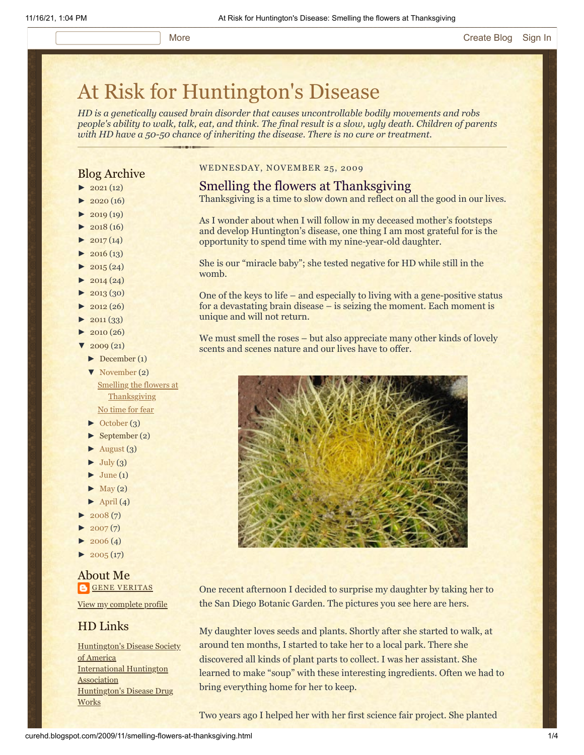# [At Risk for Huntington's Disease](http://curehd.blogspot.com/)

*HD is a genetically caused brain disorder that causes uncontrollable bodily movements and robs people's ability to walk, talk, eat, and think. The final result is a slow, ugly death. Children of parents with HD have a 50-50 chance of inheriting the disease. There is no cure or treatment.*

#### Blog Archive

- $\blacktriangleright$  [2021](http://curehd.blogspot.com/2021/) (12)
- $-2020(16)$  $-2020(16)$  $-2020(16)$
- $2019(19)$  $2019(19)$
- $\blacktriangleright$  [2018](http://curehd.blogspot.com/2018/) (16)
- $2017(14)$  $2017(14)$
- $2016(13)$  $2016(13)$
- $\blacktriangleright$  [2015](http://curehd.blogspot.com/2015/) (24)
- $\blacktriangleright$  [2014](http://curehd.blogspot.com/2014/) (24)
- $\blacktriangleright$  [2013](http://curehd.blogspot.com/2013/) (30)
- $\blacktriangleright$  [2012](http://curehd.blogspot.com/2012/) (26)
- $\blacktriangleright$  [2011](http://curehd.blogspot.com/2011/) (33)
- $\blacktriangleright$  [2010](http://curehd.blogspot.com/2010/) (26)
- $2009(21)$  $2009(21)$
- [►](javascript:void(0)) [December](http://curehd.blogspot.com/2009/12/) (1)
- [▼](javascript:void(0)) [November](http://curehd.blogspot.com/2009/11/) (2) Smelling the flowers at **[Thanksgiving](http://curehd.blogspot.com/2009/11/smelling-flowers-at-thanksgiving.html)** No [time](http://curehd.blogspot.com/2009/11/no-time-for-fear.html) for fear
- [►](javascript:void(0)) [October](http://curehd.blogspot.com/2009/10/) (3)
- [►](javascript:void(0)) [September](http://curehd.blogspot.com/2009/09/) (2)
- $\blacktriangleright$  [August](http://curehd.blogspot.com/2009/08/) (3)
- $\blacktriangleright$  [July](http://curehd.blogspot.com/2009/07/) (3)
- $\blacktriangleright$  [June](http://curehd.blogspot.com/2009/06/) (1)
- $\blacktriangleright$  [May](http://curehd.blogspot.com/2009/05/) (2)
- $\blacktriangleright$  [April](http://curehd.blogspot.com/2009/04/) (4)
- $2008(7)$  $2008(7)$
- $2007(7)$  $2007(7)$
- $2006(4)$  $2006(4)$
- $\blacktriangleright$  [2005](http://curehd.blogspot.com/2005/) (17)

#### About Me **GENE [VERITAS](https://www.blogger.com/profile/10911736205741688185)**

View my [complete](https://www.blogger.com/profile/10911736205741688185) profile

#### HD Links

[Huntington's](http://www.hdsa.org/) Disease Society of America [International](http://www.huntington-assoc.com/) Huntington **Association** [Huntington's](http://hddrugworks.org/) Disease Drug **Works** 

#### WEDNESDAY, NOVEMBER 25, 2009

#### Smelling the flowers at Thanksgiving

Thanksgiving is a time to slow down and reflect on all the good in our lives.

As I wonder about when I will follow in my deceased mother's footsteps and develop Huntington's disease, one thing I am most grateful for is the opportunity to spend time with my nine-year-old daughter.

She is our "miracle baby"; she tested negative for HD while still in the womb.

One of the keys to life – and especially to living with a gene-positive status for a devastating brain disease – is seizing the moment. Each moment is unique and will not return.

We must smell the roses – but also appreciate many other kinds of lovely scents and scenes nature and our lives have to offer.



One recent afternoon I decided to surprise my daughter by taking her to the San Diego Botanic Garden. The pictures you see here are hers.

My daughter loves seeds and plants. Shortly after she started to walk, at around ten months, I started to take her to a local park. There she discovered all kinds of plant parts to collect. I was her assistant. She learned to make "soup" with these interesting ingredients. Often we had to bring everything home for her to keep.

Two years ago I helped her with her first science fair project. She planted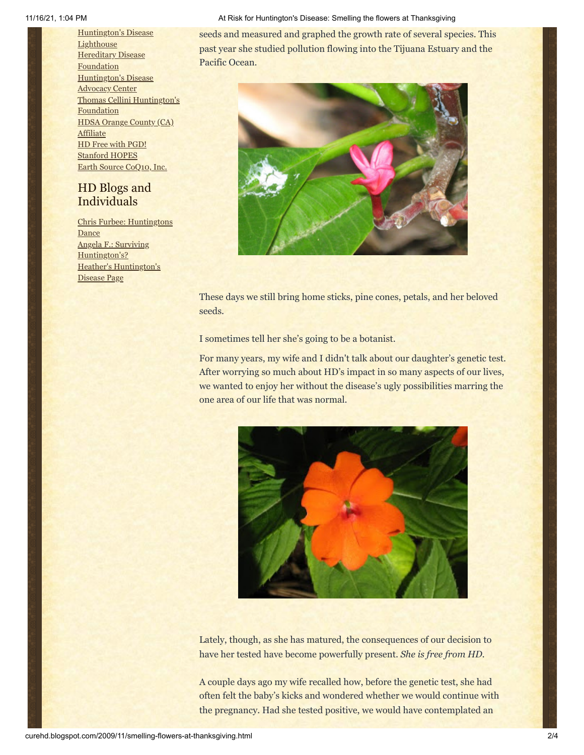[Huntington's](http://www.hdlighthouse.org/) Disease **Lighthouse Hereditary Disease [Foundation](http://www.hdfoundation.org/)** [Huntington's](http://www.hdac.org/) Disease Advocacy Center Thomas [Cellini Huntington's](http://www.ourtchfoundation.org/) **Foundation** HDSA [Orange](http://www.hdsaoc.org/) County (CA) **Affiliate** HD Free with [PGD!](http://www.hdfreewithpgd.com/) [Stanford](http://www.stanford.edu/group/hopes/) HOPES Earth Source [CoQ10,](http://www.escoq10.com/) Inc.

### HD Blogs and Individuals

Chris Furbee: [Huntingtons](http://www.huntingtonsdance.org/) Dance Angela F.: Surviving [Huntington's?](http://survivinghuntingtons.blogspot.com/) Heather's [Huntington's](http://heatherdugdale.angelfire.com/) Disease Page

#### 11/16/21, 1:04 PM **At Risk for Huntington's Disease: Smelling the flowers at Thanksgiving** 11/16/21, 1:04 PM

seeds and measured and graphed the growth rate of several species. This past year she studied pollution flowing into the Tijuana Estuary and the Pacific Ocean.



These days we still bring home sticks, pine cones, petals, and her beloved seeds.

I sometimes tell her she's going to be a botanist.

For many years, my wife and I didn't talk about our daughter's genetic test. After worrying so much about HD's impact in so many aspects of our lives, we wanted to enjoy her without the disease's ugly possibilities marring the one area of our life that was normal.



Lately, though, as she has matured, the consequences of our decision to have her tested have become powerfully present. *She is free from HD.*

A couple days ago my wife recalled how, before the genetic test, she had often felt the baby's kicks and wondered whether we would continue with the pregnancy. Had she tested positive, we would have contemplated an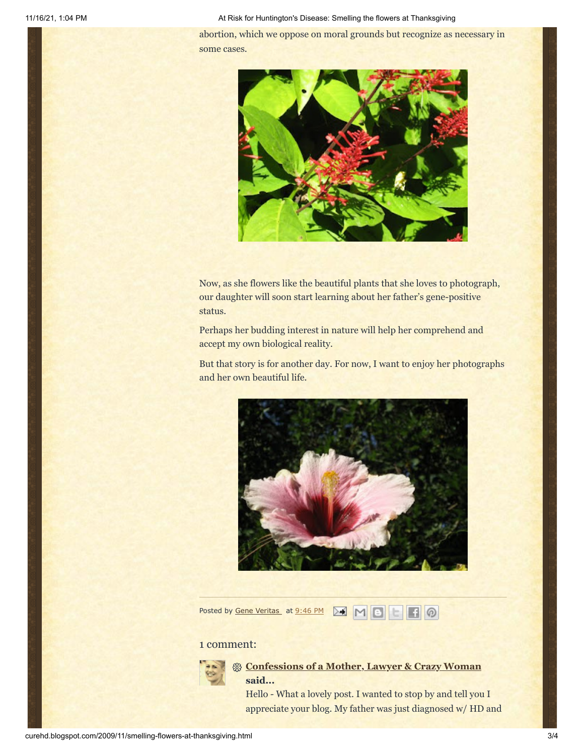11/16/21, 1:04 PM **At Risk for Huntington's Disease: Smelling the flowers at Thanksgiving** 41/16/21, 1:04 PM

abortion, which we oppose on moral grounds but recognize as necessary in some cases.



Now, as she flowers like the beautiful plants that she loves to photograph, our daughter will soon start learning about her father's gene-positive status.

Perhaps her budding interest in nature will help her comprehend and accept my own biological reality.

But that story is for another day. For now, I want to enjoy her photographs and her own beautiful life.



Posted by Gene [Veritas](https://www.blogger.com/profile/03599828959793084715) at [9:46](http://curehd.blogspot.com/2009/11/smelling-flowers-at-thanksgiving.html) PM **M M M B H M** 

#### 1 comment:



**[Confessions of a Mother, Lawyer & Crazy Woman](https://www.blogger.com/profile/18328760054648644568) said...**

Hello - What a lovely post. I wanted to stop by and tell you I appreciate your blog. My father was just diagnosed w/ HD and